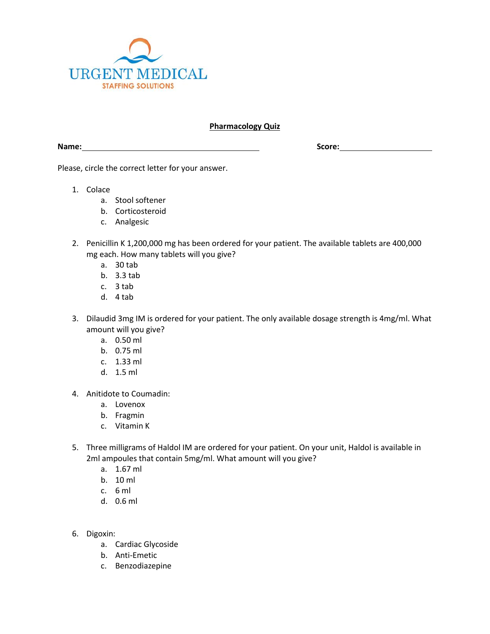

## **Pharmacology Quiz**

**Name:** Score: **Score: Score: Score: Score: Score: Score: Score: Score: Score: Score: Score: Score: Score: Score: Score: Score: Score: SCORE: SCORE: SCORE: SCORE: SCORE: SCORE:**

Please, circle the correct letter for your answer.

- 1. Colace
	- a. Stool softener
	- b. Corticosteroid
	- c. Analgesic
- 2. Penicillin K 1,200,000 mg has been ordered for your patient. The available tablets are 400,000 mg each. How many tablets will you give?
	- a. 30 tab
	- b. 3.3 tab
	- c. 3 tab
	- d. 4 tab
- 3. Dilaudid 3mg IM is ordered for your patient. The only available dosage strength is 4mg/ml. What amount will you give?
	- a. 0.50 ml
	- b. 0.75 ml
	- c. 1.33 ml
	- d. 1.5 ml
- 4. Anitidote to Coumadin:
	- a. Lovenox
	- b. Fragmin
	- c. Vitamin K
- 5. Three milligrams of Haldol IM are ordered for your patient. On your unit, Haldol is available in 2ml ampoules that contain 5mg/ml. What amount will you give?
	- a. 1.67 ml
	- b. 10 ml
	- c. 6 ml
	- d. 0.6 ml
- 6. Digoxin:
	- a. Cardiac Glycoside
	- b. Anti-Emetic
	- c. Benzodiazepine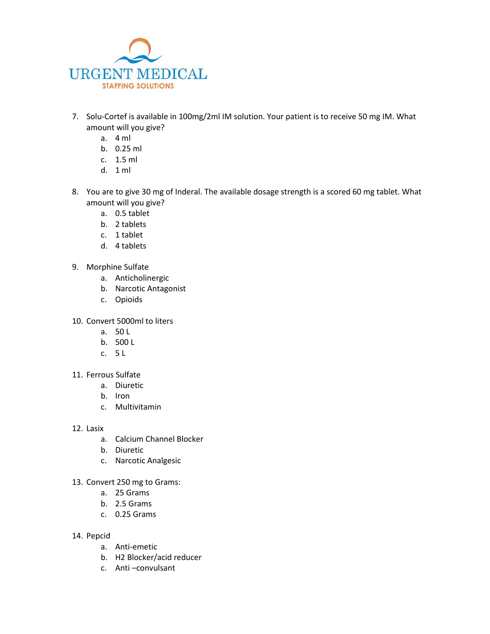

- 7. Solu-Cortef is available in 100mg/2ml IM solution. Your patient is to receive 50 mg IM. What amount will you give?
	- a. 4 ml
	- b. 0.25 ml
	- c. 1.5 ml
	- d. 1 ml
- 8. You are to give 30 mg of Inderal. The available dosage strength is a scored 60 mg tablet. What amount will you give?
	- a. 0.5 tablet
	- b. 2 tablets
	- c. 1 tablet
	- d. 4 tablets
- 9. Morphine Sulfate
	- a. Anticholinergic
	- b. Narcotic Antagonist
	- c. Opioids
- 10. Convert 5000ml to liters
	- a. 50 L
	- b. 500 L
	- c. 5 L
- 11. Ferrous Sulfate
	- a. Diuretic
	- b. Iron
	- c. Multivitamin
- 12. Lasix
	- a. Calcium Channel Blocker
	- b. Diuretic
	- c. Narcotic Analgesic
- 13. Convert 250 mg to Grams:
	- a. 25 Grams
	- b. 2.5 Grams
	- c. 0.25 Grams
- 14. Pepcid
	- a. Anti-emetic
	- b. H2 Blocker/acid reducer
	- c. Anti –convulsant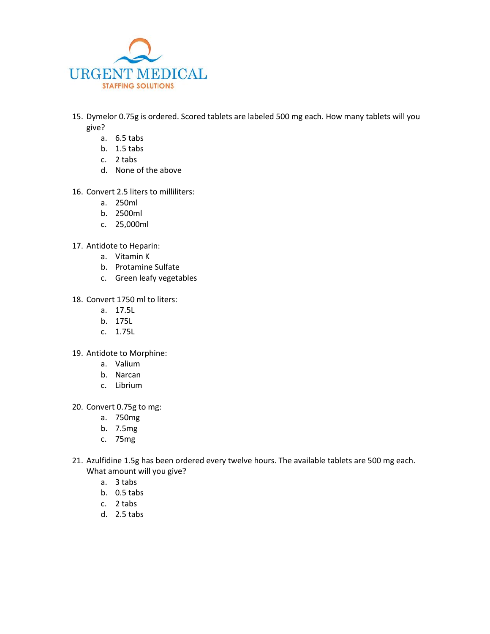

- 15. Dymelor 0.75g is ordered. Scored tablets are labeled 500 mg each. How many tablets will you give?
	- a. 6.5 tabs
	- b. 1.5 tabs
	- c. 2 tabs
	- d. None of the above
- 16. Convert 2.5 liters to milliliters:
	- a. 250ml
	- b. 2500ml
	- c. 25,000ml
- 17. Antidote to Heparin:
	- a. Vitamin K
	- b. Protamine Sulfate
	- c. Green leafy vegetables
- 18. Convert 1750 ml to liters:
	- a. 17.5L
	- b. 175L
	- c. 1.75L
- 19. Antidote to Morphine:
	- a. Valium
	- b. Narcan
	- c. Librium
- 20. Convert 0.75g to mg:
	- a. 750mg
	- b. 7.5mg
	- c. 75mg
- 21. Azulfidine 1.5g has been ordered every twelve hours. The available tablets are 500 mg each. What amount will you give?
	- a. 3 tabs
	- b. 0.5 tabs
	- c. 2 tabs
	- d. 2.5 tabs